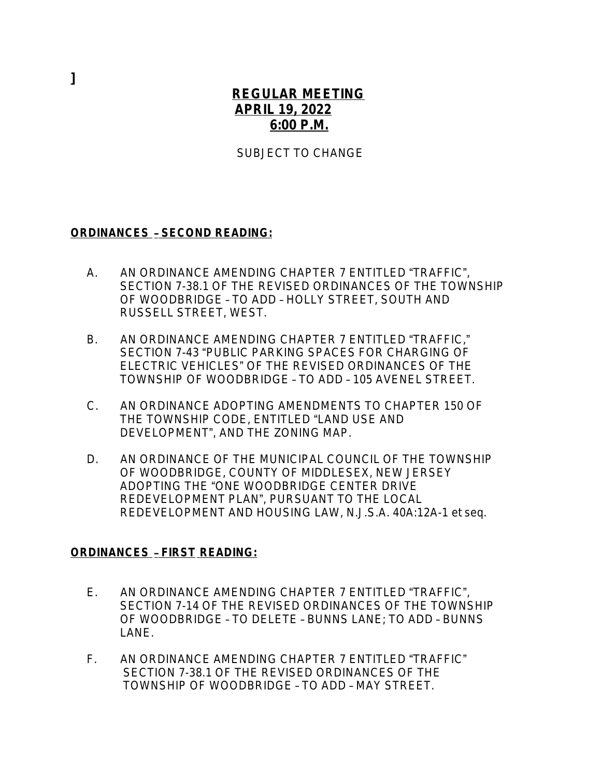## **REGULAR MEETING APRIL 19, 2022 6:00 P.M.**

SUBJECT TO CHANGE

## **ORDINANCES** – **SECOND READING:**

- A. AN ORDINANCE AMENDING CHAPTER 7 ENTITLED "TRAFFIC", SECTION 7-38.1 OF THE REVISED ORDINANCES OF THE TOWNSHIP OF WOODBRIDGE – TO ADD – HOLLY STREET, SOUTH AND RUSSELL STREET, WEST.
- B. AN ORDINANCE AMENDING CHAPTER 7 ENTITLED "TRAFFIC." SECTION 7-43 "PUBLIC PARKING SPACES FOR CHARGING OF ELECTRIC VEHICLES" OF THE REVISED ORDINANCES OF THE TOWNSHIP OF WOODBRIDGE – TO ADD – 105 AVENEL STREET.
- C. AN ORDINANCE ADOPTING AMENDMENTS TO CHAPTER 150 OF THE TOWNSHIP CODE, ENTITLED "LAND USE AND DEVELOPMENT", AND THE ZONING MAP.
- D. AN ORDINANCE OF THE MUNICIPAL COUNCIL OF THE TOWNSHIP OF WOODBRIDGE, COUNTY OF MIDDLESEX, NEW JERSEY ADOPTING THE "ONE WOODBRIDGE CENTER DRIVE REDEVELOPMENT PLAN", PURSUANT TO THE LOCAL REDEVELOPMENT AND HOUSING LAW, *N.J.S.A.* 40A:12A-1 *et seq.*

## **ORDINANCES** – **FIRST READING:**

- E. AN ORDINANCE AMENDING CHAPTER 7 ENTITLED "TRAFFIC", SECTION 7-14 OF THE REVISED ORDINANCES OF THE TOWNSHIP OF WOODBRIDGE – TO DELETE – BUNNS LANE; TO ADD – BUNNS LANE.
- F. AN ORDINANCE AMENDING CHAPTER 7 ENTITLED "TRAFFIC" SECTION 7-38.1 OF THE REVISED ORDINANCES OF THE TOWNSHIP OF WOODBRIDGE – TO ADD – MAY STREET.

**]**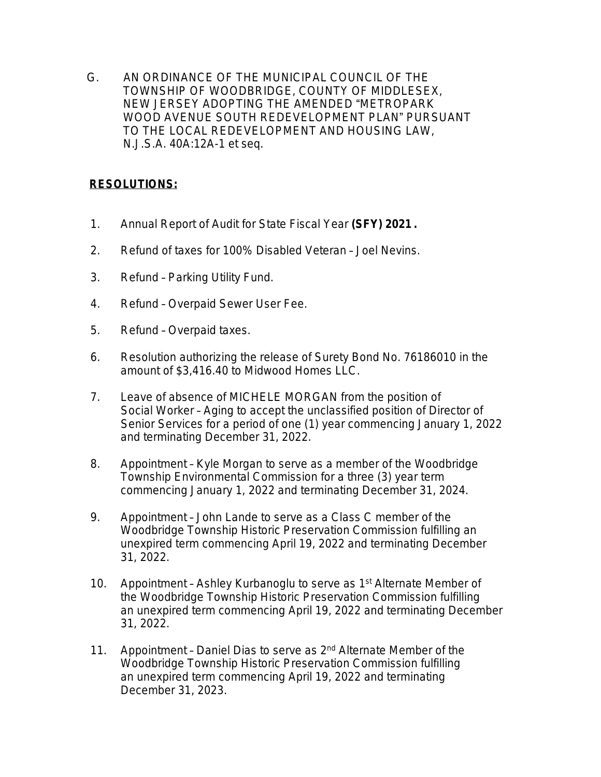G. AN ORDINANCE OF THE MUNICIPAL COUNCIL OF THE TOWNSHIP OF WOODBRIDGE, COUNTY OF MIDDLESEX, NEW JERSEY ADOPTING THE AMENDED "METROPARK WOOD AVENUE SOUTH REDEVELOPMENT PLAN" PURSUANT TO THE LOCAL REDEVELOPMENT AND HOUSING LAW, N.J.S.A. 40A:12A-1 et seq.

## **RESOLUTIONS:**

- 1. Annual Report of Audit for State Fiscal Year **(SFY) 2021 .**
- 2. Refund of taxes for 100% Disabled Veteran Joel Nevins.
- 3. Refund Parking Utility Fund.
- 4. Refund Overpaid Sewer User Fee.
- 5. Refund Overpaid taxes.
- 6. Resolution authorizing the release of Surety Bond No. 76186010 in the amount of \$3,416.40 to Midwood Homes LLC.
- 7. Leave of absence of MICHELE MORGAN from the position of Social Worker – Aging to accept the unclassified position of Director of Senior Services for a period of one (1) year commencing January 1, 2022 and terminating December 31, 2022.
- 8. Appointment Kyle Morgan to serve as a member of the Woodbridge Township Environmental Commission for a three (3) year term commencing January 1, 2022 and terminating December 31, 2024.
- 9. Appointment John Lande to serve as a Class C member of the Woodbridge Township Historic Preservation Commission fulfilling an unexpired term commencing April 19, 2022 and terminating December 31, 2022.
- 10. Appointment Ashley Kurbanoglu to serve as 1<sup>st</sup> Alternate Member of the Woodbridge Township Historic Preservation Commission fulfilling an unexpired term commencing April 19, 2022 and terminating December 31, 2022.
- 11. Appointment Daniel Dias to serve as 2<sup>nd</sup> Alternate Member of the Woodbridge Township Historic Preservation Commission fulfilling an unexpired term commencing April 19, 2022 and terminating December 31, 2023.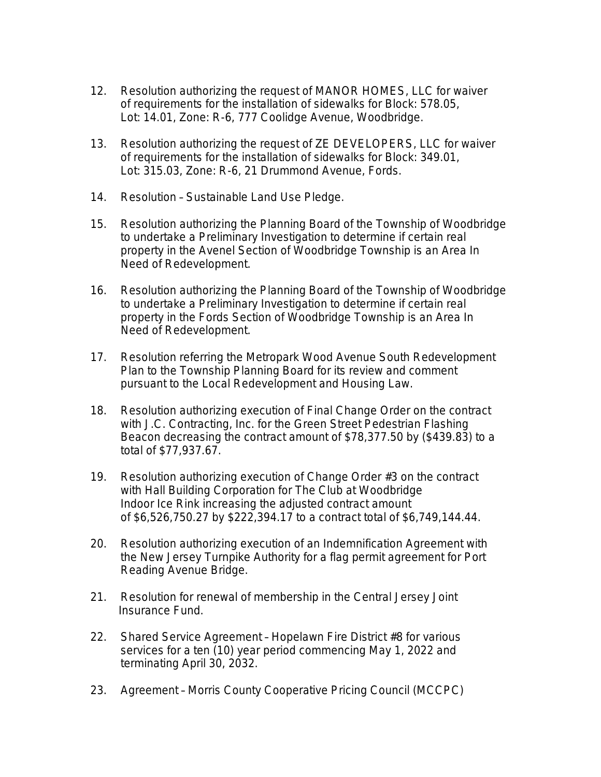- 12. Resolution authorizing the request of MANOR HOMES, LLC for waiver of requirements for the installation of sidewalks for Block: 578.05, Lot: 14.01, Zone: R-6, 777 Coolidge Avenue, Woodbridge.
- 13. Resolution authorizing the request of ZE DEVELOPERS, LLC for waiver of requirements for the installation of sidewalks for Block: 349.01, Lot: 315.03, Zone: R-6, 21 Drummond Avenue, Fords.
- 14. Resolution Sustainable Land Use Pledge.
- 15. Resolution authorizing the Planning Board of the Township of Woodbridge to undertake a Preliminary Investigation to determine if certain real property in the Avenel Section of Woodbridge Township is an Area In Need of Redevelopment.
- 16. Resolution authorizing the Planning Board of the Township of Woodbridge to undertake a Preliminary Investigation to determine if certain real property in the Fords Section of Woodbridge Township is an Area In Need of Redevelopment.
- 17. Resolution referring the Metropark Wood Avenue South Redevelopment Plan to the Township Planning Board for its review and comment pursuant to the Local Redevelopment and Housing Law.
- 18. Resolution authorizing execution of Final Change Order on the contract with J.C. Contracting, Inc. for the Green Street Pedestrian Flashing Beacon decreasing the contract amount of \$78,377.50 by (\$439.83) to a total of \$77,937.67.
- 19. Resolution authorizing execution of Change Order #3 on the contract with Hall Building Corporation for The Club at Woodbridge Indoor Ice Rink increasing the adjusted contract amount of \$6,526,750.27 by \$222,394.17 to a contract total of \$6,749,144.44.
- 20. Resolution authorizing execution of an Indemnification Agreement with the New Jersey Turnpike Authority for a flag permit agreement for Port Reading Avenue Bridge.
- 21. Resolution for renewal of membership in the Central Jersey Joint Insurance Fund.
- 22. Shared Service Agreement Hopelawn Fire District #8 for various services for a ten (10) year period commencing May 1, 2022 and terminating April 30, 2032.
- 23. Agreement Morris County Cooperative Pricing Council (MCCPC)